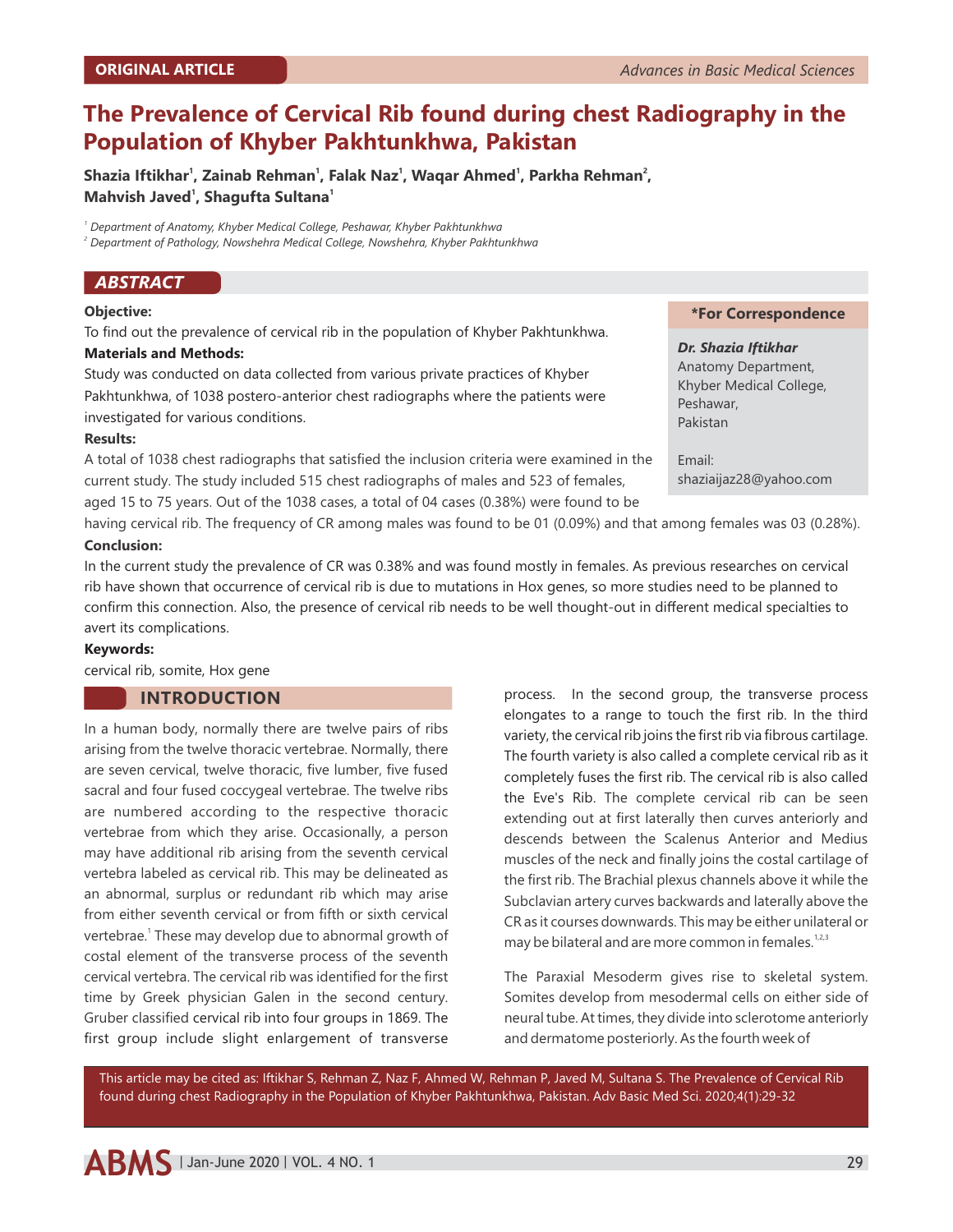# **The Prevalence of Cervical Rib found during chest Radiography in the Population of Khyber Pakhtunkhwa, Pakistan**

**1 1 1 1 2 Shazia Iftikhar , Zainab Rehman , Falak Naz , Waqar Ahmed , Parkha Rehman , <sup>1</sup> <sup>1</sup> Mahvish Javed , Shagufta Sultana**

*1 Department of Anatomy, Khyber Medical College, Peshawar, Khyber Pakhtunkhwa*

*2 Department of Pathology, Nowshehra Medical College, Nowshehra, Khyber Pakhtunkhwa*

# *ABSTRACT*

#### **Objective:**

To find out the prevalence of cervical rib in the population of Khyber Pakhtunkhwa.

#### **Materials and Methods:**

Study was conducted on data collected from various private practices of Khyber Pakhtunkhwa, of 1038 postero-anterior chest radiographs where the patients were investigated for various conditions.

#### **Results:**

current study. The study included 515 chest radiographs of males and 523 of females, aged 15 to 75 years. Out of the 1038 cases, a total of 04 cases (0.38%) were found to be A total of 1038 chest radiographs that satisfied the inclusion criteria were examined in the

# **\*For Correspondence**

*Dr. Shazia Iftikhar* Anatomy Department, Khyber Medical College, Peshawar, Pakistan

Email: shaziaijaz28@yahoo.com

**Conclusion:**  having cervical rib. The frequency of CR among males was found to be 01 (0.09%) and that among females was 03 (0.28%).

In the current study the prevalence of CR was 0.38% and was found mostly in females. As previous researches on cervical rib have shown that occurrence of cervical rib is due to mutations in Hox genes, so more studies need to be planned to confirm this connection. Also, the presence of cervical rib needs to be well thought-out in different medical specialties to avert its complications.

#### **Keywords:**

cervical rib, somite, Hox gene

# **INTRODUCTION**

In a human body, normally there are twelve pairs of ribs arising from the twelve thoracic vertebrae. Normally, there are seven cervical, twelve thoracic, five lumber, five fused sacral and four fused coccygeal vertebrae. The twelve ribs are numbered according to the respective thoracic vertebrae from which they arise. Occasionally, a person may have additional rib arising from the seventh cervical vertebra labeled as cervical rib. This may be delineated as an abnormal, surplus or redundant rib which may arise from either seventh cervical or from fifth or sixth cervical vertebrae.<sup>1</sup> These may develop due to abnormal growth of costal element of the transverse process of the seventh cervical vertebra. The cervical rib was identified for the first time by Greek physician Galen in the second century. Gruber classified cervical rib into four groups in 1869. The first group include slight enlargement of transverse

process. In the second group, the transverse process elongates to a range to touch the first rib. In the third variety, the cervical rib joins the first rib via fibrous cartilage. The fourth variety is also called a complete cervical rib as it completely fuses the first rib. The cervical rib is also called the Eve's Rib. The complete cervical rib can be seen extending out at first laterally then curves anteriorly and descends between the Scalenus Anterior and Medius muscles of the neck and finally joins the costal cartilage of the first rib. The Brachial plexus channels above it while the Subclavian artery curves backwards and laterally above the CR as it courses downwards. This may be either unilateral or may be bilateral and are more common in females.<sup>1,2,3</sup>

The Paraxial Mesoderm gives rise to skeletal system. Somites develop from mesodermal cells on either side of neural tube. At times, they divide into sclerotome anteriorly and dermatome posteriorly. As the fourth week of

This article may be cited as: Iftikhar S, Rehman Z, Naz F, Ahmed W, Rehman P, Javed M, Sultana S. The Prevalence of Cervical Rib found during chest Radiography in the Population of Khyber Pakhtunkhwa, Pakistan. Adv Basic Med Sci. 2020;4(1):29-32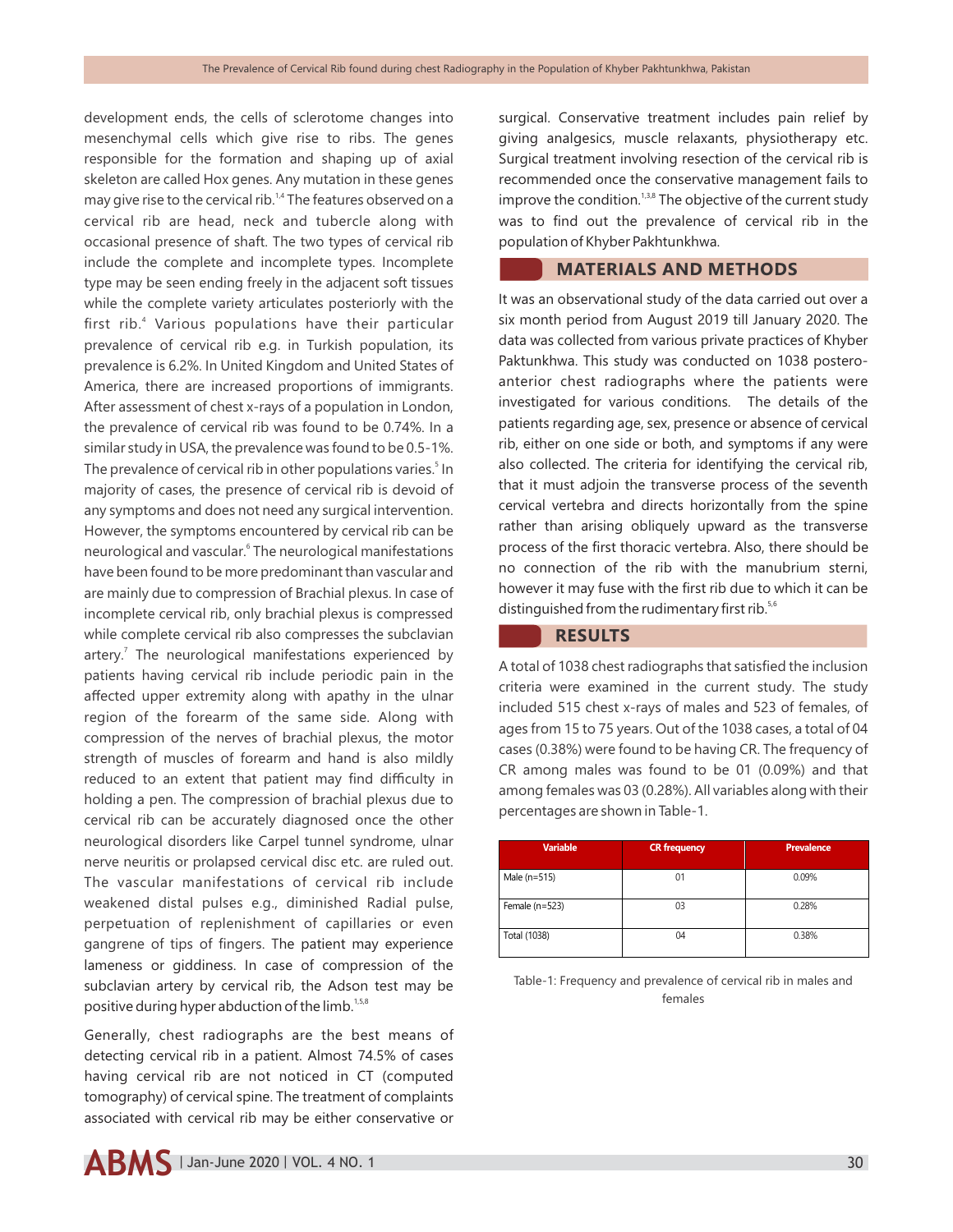development ends, the cells of sclerotome changes into mesenchymal cells which give rise to ribs. The genes responsible for the formation and shaping up of axial skeleton are called Hox genes. Any mutation in these genes may give rise to the cervical rib.<sup>14</sup> The features observed on a cervical rib are head, neck and tubercle along with occasional presence of shaft. The two types of cervical rib include the complete and incomplete types. Incomplete type may be seen ending freely in the adjacent soft tissues while the complete variety articulates posteriorly with the first rib.<sup>4</sup> Various populations have their particular prevalence of cervical rib e.g. in Turkish population, its prevalence is 6.2%. In United Kingdom and United States of America, there are increased proportions of immigrants. After assessment of chest x-rays of a population in London, the prevalence of cervical rib was found to be 0.74%. In a similar study in USA, the prevalence was found to be 0.5-1%. The prevalence of cervical rib in other populations varies.<sup>5</sup> In majority of cases, the presence of cervical rib is devoid of any symptoms and does not need any surgical intervention. However, the symptoms encountered by cervical rib can be neurological and vascular.<sup>6</sup> The neurological manifestations have been found to be more predominant than vascular and are mainly due to compression of Brachial plexus. In case of incomplete cervical rib, only brachial plexus is compressed while complete cervical rib also compresses the subclavian artery.<sup>7</sup> The neurological manifestations experienced by patients having cervical rib include periodic pain in the affected upper extremity along with apathy in the ulnar region of the forearm of the same side. Along with compression of the nerves of brachial plexus, the motor strength of muscles of forearm and hand is also mildly reduced to an extent that patient may find difficulty in holding a pen. The compression of brachial plexus due to cervical rib can be accurately diagnosed once the other neurological disorders like Carpel tunnel syndrome, ulnar nerve neuritis or prolapsed cervical disc etc. are ruled out. The vascular manifestations of cervical rib include weakened distal pulses e.g., diminished Radial pulse, perpetuation of replenishment of capillaries or even gangrene of tips of fingers. The patient may experience lameness or giddiness. In case of compression of the subclavian artery by cervical rib, the Adson test may be positive during hyper abduction of the limb.<sup>1,5,8</sup>

Generally, chest radiographs are the best means of detecting cervical rib in a patient. Almost 74.5% of cases having cervical rib are not noticed in CT (computed tomography) of cervical spine. The treatment of complaints associated with cervical rib may be either conservative or

giving analgesics, muscle relaxants, physiotherapy etc. Surgical treatment involving resection of the cervical rib is recommended once the conservative management fails to improve the condition. $13,8$  The objective of the current study was to find out the prevalence of cervical rib in the population of Khyber Pakhtunkhwa. **MATERIALS AND METHODS**

surgical. Conservative treatment includes pain relief by

It was an observational study of the data carried out over a six month period from August 2019 till January 2020. The data was collected from various private practices of Khyber Paktunkhwa. This study was conducted on 1038 posteroanterior chest radiographs where the patients were investigated for various conditions. The details of the patients regarding age, sex, presence or absence of cervical rib, either on one side or both, and symptoms if any were also collected. The criteria for identifying the cervical rib, that it must adjoin the transverse process of the seventh cervical vertebra and directs horizontally from the spine rather than arising obliquely upward as the transverse process of the first thoracic vertebra. Also, there should be no connection of the rib with the manubrium sterni, however it may fuse with the first rib due to which it can be distinguished from the rudimentary first rib. $5,6$ 

# **RESULTS**

A total of 1038 chest radiographs that satisfied the inclusion criteria were examined in the current study. The study included 515 chest x-rays of males and 523 of females, of ages from 15 to 75 years. Out of the 1038 cases, a total of 04 cases (0.38%) were found to be having CR. The frequency of CR among males was found to be 01 (0.09%) and that among females was 03 (0.28%). All variables along with their percentages are shown in Table-1.

| <b>Variable</b> | <b>CR</b> frequency | <b>Prevalence</b> |
|-----------------|---------------------|-------------------|
| Male (n=515)    | 01                  | 0.09%             |
| Female (n=523)  | 03                  | 0.28%             |
| Total (1038)    | 04                  | 0.38%             |

Table-1: Frequency and prevalence of cervical rib in males and females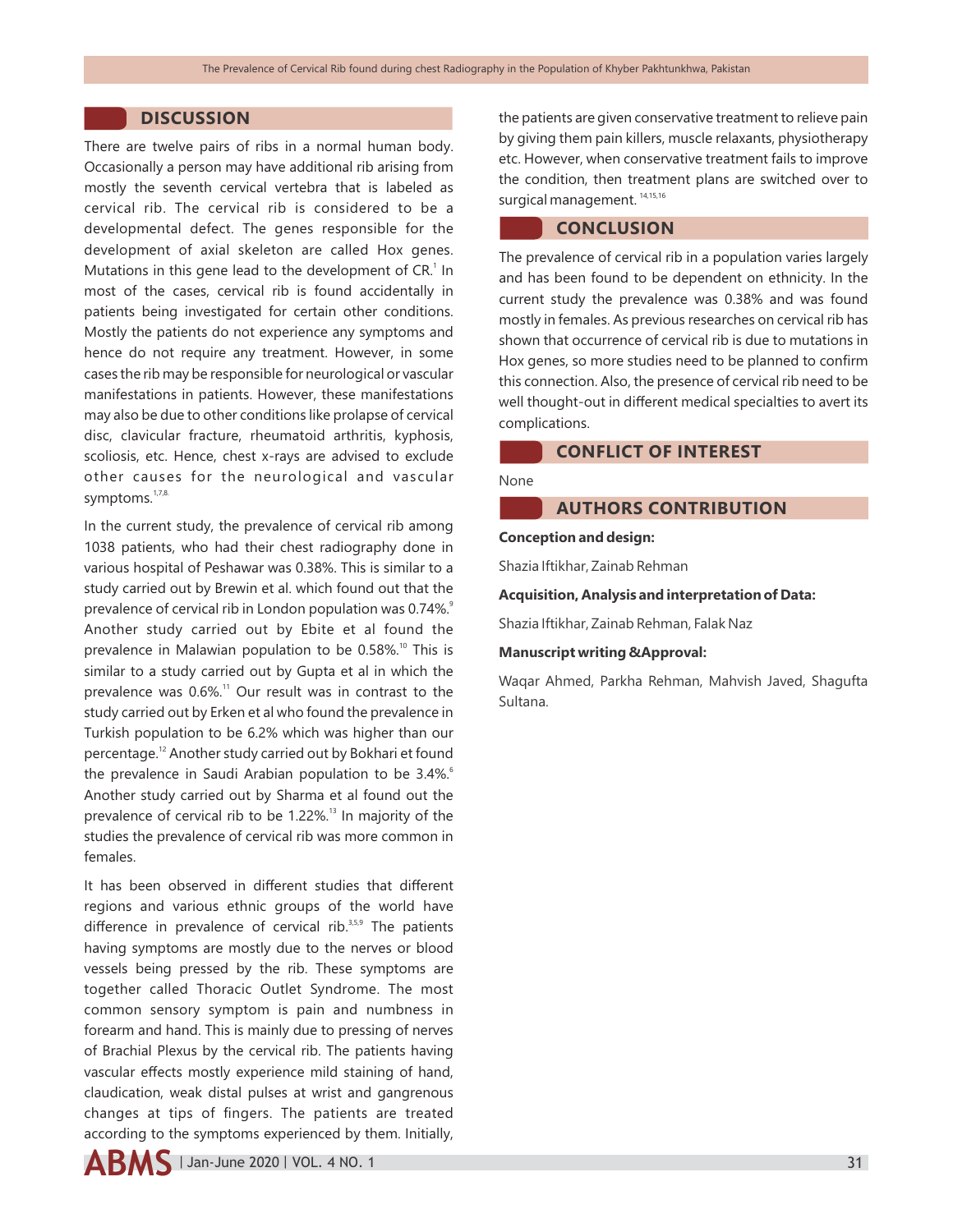# **DISCUSSION**

There are twelve pairs of ribs in a normal human body. Occasionally a person may have additional rib arising from mostly the seventh cervical vertebra that is labeled as cervical rib. The cervical rib is considered to be a developmental defect. The genes responsible for the development of axial skeleton are called Hox genes. Mutations in this gene lead to the development of  $CR<sup>1</sup>$  In most of the cases, cervical rib is found accidentally in patients being investigated for certain other conditions. Mostly the patients do not experience any symptoms and hence do not require any treatment. However, in some cases the rib may be responsible for neurological or vascular manifestations in patients. However, these manifestations may also be due to other conditions like prolapse of cervical disc, clavicular fracture, rheumatoid arthritis, kyphosis, scoliosis, etc. Hence, chest x-rays are advised to exclude other causes for the neurological and vascular symptoms.<sup>1,7,8.</sup>

In the current study, the prevalence of cervical rib among 1038 patients, who had their chest radiography done in various hospital of Peshawar was 0.38%. This is similar to a study carried out by Brewin et al. which found out that the prevalence of cervical rib in London population was 0.74%.<sup>9</sup> Another study carried out by Ebite et al found the prevalence in Malawian population to be 0.58%.<sup>10</sup> This is similar to a study carried out by Gupta et al in which the prevalence was  $0.6\%$ .<sup>11</sup> Our result was in contrast to the study carried out by Erken et al who found the prevalence in Turkish population to be 6.2% which was higher than our percentage.<sup>12</sup> Another study carried out by Bokhari et found the prevalence in Saudi Arabian population to be 3.4%.<sup>6</sup> Another study carried out by Sharma et al found out the prevalence of cervical rib to be 1.22%.<sup>13</sup> In majority of the studies the prevalence of cervical rib was more common in females.

It has been observed in different studies that different regions and various ethnic groups of the world have difference in prevalence of cervical rib. $35,59$  The patients having symptoms are mostly due to the nerves or blood vessels being pressed by the rib. These symptoms are together called Thoracic Outlet Syndrome. The most common sensory symptom is pain and numbness in forearm and hand. This is mainly due to pressing of nerves of Brachial Plexus by the cervical rib. The patients having vascular effects mostly experience mild staining of hand, claudication, weak distal pulses at wrist and gangrenous changes at tips of fingers. The patients are treated according to the symptoms experienced by them. Initially,

the patients are given conservative treatment to relieve pain by giving them pain killers, muscle relaxants, physiotherapy etc. However, when conservative treatment fails to improve the condition, then treatment plans are switched over to surgical management.<sup>14,15,16</sup>

# **CONCLUSION**

The prevalence of cervical rib in a population varies largely and has been found to be dependent on ethnicity. In the current study the prevalence was 0.38% and was found mostly in females. As previous researches on cervical rib has shown that occurrence of cervical rib is due to mutations in Hox genes, so more studies need to be planned to confirm this connection. Also, the presence of cervical rib need to be well thought-out in different medical specialties to avert its complications.

# **CONFLICT OF INTEREST**

#### None

# **AUTHORS CONTRIBUTION**

#### **Conception and design:**

Shazia Iftikhar, Zainab Rehman

#### **Acquisition, Analysis and interpretation of Data:**

Shazia Iftikhar, Zainab Rehman, Falak Naz

#### **Manuscript writing &Approval:**

Waqar Ahmed, Parkha Rehman, Mahvish Javed, Shagufta Sultana.